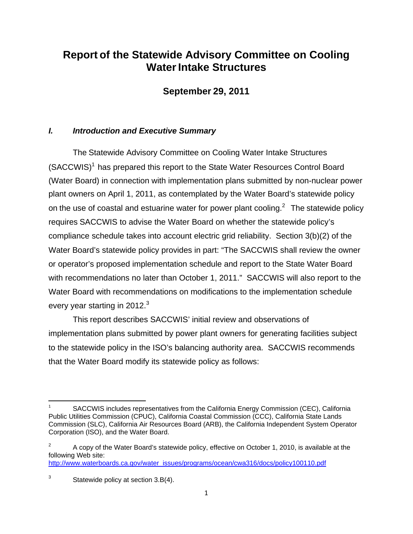# **Report of the Statewide Advisory Committee on Cooling Water Intake Structures**

**September 29, 2011**

## *I. Introduction and Executive Summary*

The Statewide Advisory Committee on Cooling Water Intake Structures (SACCWIS)<sup>1</sup> has prepared this report to the State Water Resources Control Board (Water Board) in connection with implementation plans submitted by non-nuclear power plant owners on April 1, 2011, as contemplated by the Water Board's statewide policy on the use of coastal and estuarine water for power plant cooling. $2$  The statewide policy requires SACCWIS to advise the Water Board on whether the statewide policy's compliance schedule takes into account electric grid reliability. Section 3(b)(2) of the Water Board's statewide policy provides in part: "The SACCWIS shall review the owner or operator's proposed implementation schedule and report to the State Water Board with recommendations no later than October 1, 2011." SACCWIS will also report to the Water Board with recommendations on modifications to the implementation schedule every year starting in 2012. $3$ 

This report describes SACCWIS' initial review and observations of implementation plans submitted by power plant owners for generating facilities subject to the statewide policy in the ISO's balancing authority area. SACCWIS recommends that the Water Board modify its statewide policy as follows:

SACCWIS includes representatives from the California Energy Commission (CEC), California Public Utilities Commission (CPUC), California Coastal Commission (CCC), California State Lands Commission (SLC), California Air Resources Board (ARB), the California Independent System Operator Corporation (ISO), and the Water Board.

<sup>2</sup> A copy of the Water Board's statewide policy, effective on October 1, 2010, is available at the following Web site: http://www.waterboards.ca.gov/water\_issues/programs/ocean/cwa316/docs/policy100110.pdf

<sup>&</sup>lt;sup>3</sup> Statewide policy at section 3.B(4).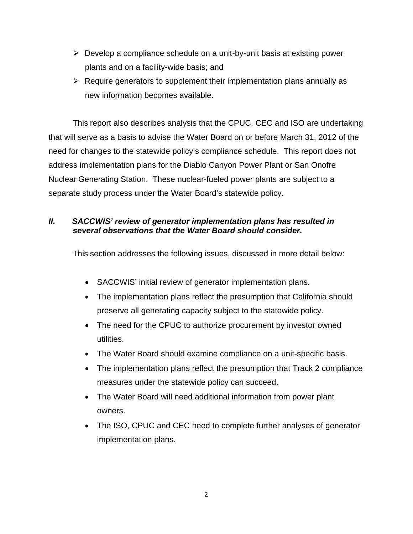- $\triangleright$  Develop a compliance schedule on a unit-by-unit basis at existing power plants and on a facility-wide basis; and
- $\triangleright$  Require generators to supplement their implementation plans annually as new information becomes available.

This report also describes analysis that the CPUC, CEC and ISO are undertaking that will serve as a basis to advise the Water Board on or before March 31, 2012 of the need for changes to the statewide policy's compliance schedule. This report does not address implementation plans for the Diablo Canyon Power Plant or San Onofre Nuclear Generating Station. These nuclear-fueled power plants are subject to a separate study process under the Water Board's statewide policy.

## *II. SACCWIS' review of generator implementation plans has resulted in several observations that the Water Board should consider.*

This section addresses the following issues, discussed in more detail below:

- SACCWIS' initial review of generator implementation plans.
- The implementation plans reflect the presumption that California should preserve all generating capacity subject to the statewide policy.
- The need for the CPUC to authorize procurement by investor owned utilities.
- The Water Board should examine compliance on a unit-specific basis.
- The implementation plans reflect the presumption that Track 2 compliance measures under the statewide policy can succeed.
- The Water Board will need additional information from power plant owners.
- The ISO, CPUC and CEC need to complete further analyses of generator implementation plans.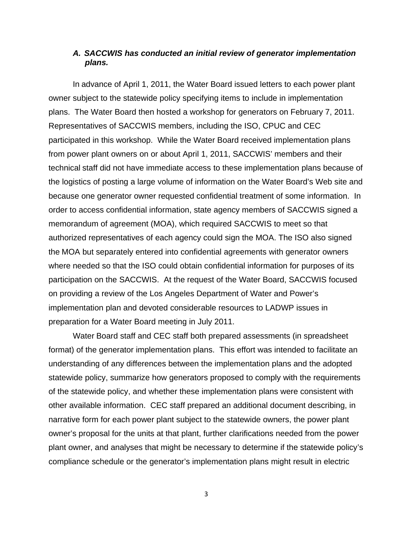#### *A. SACCWIS has conducted an initial review of generator implementation plans.*

In advance of April 1, 2011, the Water Board issued letters to each power plant owner subject to the statewide policy specifying items to include in implementation plans. The Water Board then hosted a workshop for generators on February 7, 2011. Representatives of SACCWIS members, including the ISO, CPUC and CEC participated in this workshop. While the Water Board received implementation plans from power plant owners on or about April 1, 2011, SACCWIS' members and their technical staff did not have immediate access to these implementation plans because of the logistics of posting a large volume of information on the Water Board's Web site and because one generator owner requested confidential treatment of some information. In order to access confidential information, state agency members of SACCWIS signed a memorandum of agreement (MOA), which required SACCWIS to meet so that authorized representatives of each agency could sign the MOA. The ISO also signed the MOA but separately entered into confidential agreements with generator owners where needed so that the ISO could obtain confidential information for purposes of its participation on the SACCWIS. At the request of the Water Board, SACCWIS focused on providing a review of the Los Angeles Department of Water and Power's implementation plan and devoted considerable resources to LADWP issues in preparation for a Water Board meeting in July 2011.

Water Board staff and CEC staff both prepared assessments (in spreadsheet format) of the generator implementation plans. This effort was intended to facilitate an understanding of any differences between the implementation plans and the adopted statewide policy, summarize how generators proposed to comply with the requirements of the statewide policy, and whether these implementation plans were consistent with other available information. CEC staff prepared an additional document describing, in narrative form for each power plant subject to the statewide owners, the power plant owner's proposal for the units at that plant, further clarifications needed from the power plant owner, and analyses that might be necessary to determine if the statewide policy's compliance schedule or the generator's implementation plans might result in electric

3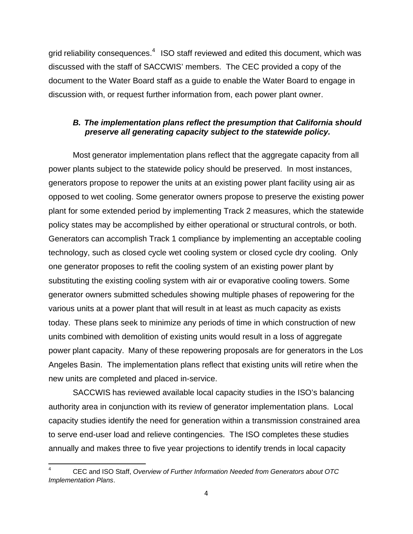grid reliability consequences.<sup>4</sup> ISO staff reviewed and edited this document, which was discussed with the staff of SACCWIS' members. The CEC provided a copy of the document to the Water Board staff as a guide to enable the Water Board to engage in discussion with, or request further information from, each power plant owner.

#### *B. The implementation plans reflect the presumption that California should preserve all generating capacity subject to the statewide policy.*

Most generator implementation plans reflect that the aggregate capacity from all power plants subject to the statewide policy should be preserved. In most instances, generators propose to repower the units at an existing power plant facility using air as opposed to wet cooling. Some generator owners propose to preserve the existing power plant for some extended period by implementing Track 2 measures, which the statewide policy states may be accomplished by either operational or structural controls, or both. Generators can accomplish Track 1 compliance by implementing an acceptable cooling technology, such as closed cycle wet cooling system or closed cycle dry cooling. Only one generator proposes to refit the cooling system of an existing power plant by substituting the existing cooling system with air or evaporative cooling towers. Some generator owners submitted schedules showing multiple phases of repowering for the various units at a power plant that will result in at least as much capacity as exists today. These plans seek to minimize any periods of time in which construction of new units combined with demolition of existing units would result in a loss of aggregate power plant capacity. Many of these repowering proposals are for generators in the Los Angeles Basin. The implementation plans reflect that existing units will retire when the new units are completed and placed in-service.

SACCWIS has reviewed available local capacity studies in the ISO's balancing authority area in conjunction with its review of generator implementation plans. Local capacity studies identify the need for generation within a transmission constrained area to serve end-user load and relieve contingencies. The ISO completes these studies annually and makes three to five year projections to identify trends in local capacity

<sup>4</sup> CEC and ISO Staff, *Overview of Further Information Needed from Generators about OTC Implementation Plans*.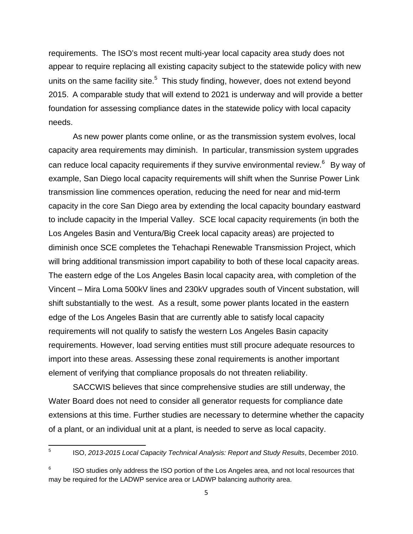requirements. The ISO's most recent multi-year local capacity area study does not appear to require replacing all existing capacity subject to the statewide policy with new units on the same facility site. $5$  This study finding, however, does not extend beyond 2015. A comparable study that will extend to 2021 is underway and will provide a better foundation for assessing compliance dates in the statewide policy with local capacity needs.

As new power plants come online, or as the transmission system evolves, local capacity area requirements may diminish. In particular, transmission system upgrades can reduce local capacity requirements if they survive environmental review.<sup>6</sup> By way of example, San Diego local capacity requirements will shift when the Sunrise Power Link transmission line commences operation, reducing the need for near and mid-term capacity in the core San Diego area by extending the local capacity boundary eastward to include capacity in the Imperial Valley. SCE local capacity requirements (in both the Los Angeles Basin and Ventura/Big Creek local capacity areas) are projected to diminish once SCE completes the Tehachapi Renewable Transmission Project, which will bring additional transmission import capability to both of these local capacity areas. The eastern edge of the Los Angeles Basin local capacity area, with completion of the Vincent – Mira Loma 500kV lines and 230kV upgrades south of Vincent substation, will shift substantially to the west. As a result, some power plants located in the eastern edge of the Los Angeles Basin that are currently able to satisfy local capacity requirements will not qualify to satisfy the western Los Angeles Basin capacity requirements. However, load serving entities must still procure adequate resources to import into these areas. Assessing these zonal requirements is another important element of verifying that compliance proposals do not threaten reliability.

SACCWIS believes that since comprehensive studies are still underway, the Water Board does not need to consider all generator requests for compliance date extensions at this time. Further studies are necessary to determine whether the capacity of a plant, or an individual unit at a plant, is needed to serve as local capacity.

5 ISO, *2013-2015 Local Capacity Technical Analysis: Report and Study Results*, December 2010.

ISO studies only address the ISO portion of the Los Angeles area, and not local resources that may be required for the LADWP service area or LADWP balancing authority area.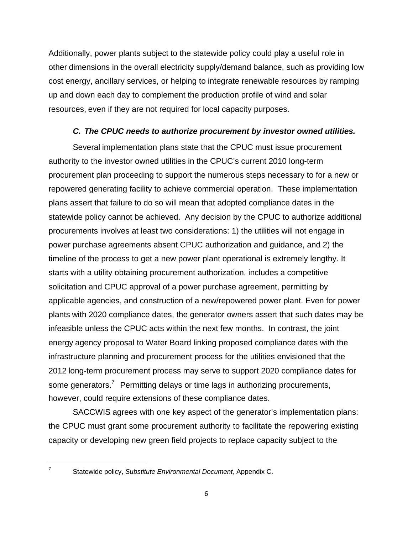Additionally, power plants subject to the statewide policy could play a useful role in other dimensions in the overall electricity supply/demand balance, such as providing low cost energy, ancillary services, or helping to integrate renewable resources by ramping up and down each day to complement the production profile of wind and solar resources, even if they are not required for local capacity purposes.

## *C. The CPUC needs to authorize procurement by investor owned utilities.*

Several implementation plans state that the CPUC must issue procurement authority to the investor owned utilities in the CPUC's current 2010 long-term procurement plan proceeding to support the numerous steps necessary to for a new or repowered generating facility to achieve commercial operation. These implementation plans assert that failure to do so will mean that adopted compliance dates in the statewide policy cannot be achieved. Any decision by the CPUC to authorize additional procurements involves at least two considerations: 1) the utilities will not engage in power purchase agreements absent CPUC authorization and guidance, and 2) the timeline of the process to get a new power plant operational is extremely lengthy. It starts with a utility obtaining procurement authorization, includes a competitive solicitation and CPUC approval of a power purchase agreement, permitting by applicable agencies, and construction of a new/repowered power plant. Even for power plants with 2020 compliance dates, the generator owners assert that such dates may be infeasible unless the CPUC acts within the next few months. In contrast, the joint energy agency proposal to Water Board linking proposed compliance dates with the infrastructure planning and procurement process for the utilities envisioned that the 2012 long-term procurement process may serve to support 2020 compliance dates for some generators.<sup>7</sup> Permitting delays or time lags in authorizing procurements, however, could require extensions of these compliance dates.

SACCWIS agrees with one key aspect of the generator's implementation plans: the CPUC must grant some procurement authority to facilitate the repowering existing capacity or developing new green field projects to replace capacity subject to the

<sup>7</sup> Statewide policy, *Substitute Environmental Document*, Appendix C.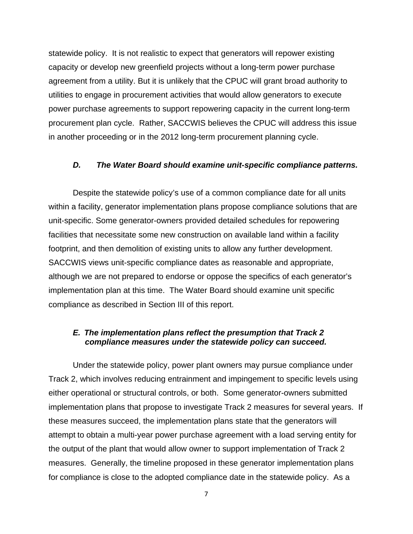statewide policy. It is not realistic to expect that generators will repower existing capacity or develop new greenfield projects without a long-term power purchase agreement from a utility. But it is unlikely that the CPUC will grant broad authority to utilities to engage in procurement activities that would allow generators to execute power purchase agreements to support repowering capacity in the current long-term procurement plan cycle. Rather, SACCWIS believes the CPUC will address this issue in another proceeding or in the 2012 long-term procurement planning cycle.

#### *D. The Water Board should examine unit-specific compliance patterns.*

Despite the statewide policy's use of a common compliance date for all units within a facility, generator implementation plans propose compliance solutions that are unit-specific. Some generator-owners provided detailed schedules for repowering facilities that necessitate some new construction on available land within a facility footprint, and then demolition of existing units to allow any further development. SACCWIS views unit-specific compliance dates as reasonable and appropriate, although we are not prepared to endorse or oppose the specifics of each generator's implementation plan at this time. The Water Board should examine unit specific compliance as described in Section III of this report.

#### *E. The implementation plans reflect the presumption that Track 2 compliance measures under the statewide policy can succeed.*

Under the statewide policy, power plant owners may pursue compliance under Track 2, which involves reducing entrainment and impingement to specific levels using either operational or structural controls, or both. Some generator-owners submitted implementation plans that propose to investigate Track 2 measures for several years. If these measures succeed, the implementation plans state that the generators will attempt to obtain a multi-year power purchase agreement with a load serving entity for the output of the plant that would allow owner to support implementation of Track 2 measures. Generally, the timeline proposed in these generator implementation plans for compliance is close to the adopted compliance date in the statewide policy. As a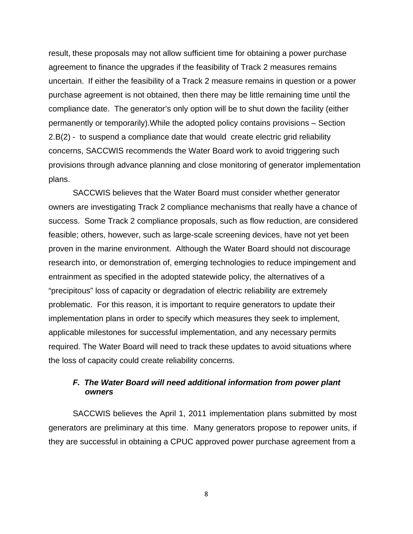result, these proposals may not allow sufficient time for obtaining a power purchase agreement to finance the upgrades if the feasibility of Track 2 measures remains uncertain. If either the feasibility of a Track 2 measure remains in question or a power purchase agreement is not obtained, then there may be little remaining time until the compliance date. The generator's only option will be to shut down the facility (either permanently or temporarily).While the adopted policy contains provisions – Section 2.B(2) - to suspend a compliance date that would create electric grid reliability concerns, SACCWIS recommends the Water Board work to avoid triggering such provisions through advance planning and close monitoring of generator implementation plans.

SACCWIS believes that the Water Board must consider whether generator owners are investigating Track 2 compliance mechanisms that really have a chance of success. Some Track 2 compliance proposals, such as flow reduction, are considered feasible; others, however, such as large-scale screening devices, have not yet been proven in the marine environment. Although the Water Board should not discourage research into, or demonstration of, emerging technologies to reduce impingement and entrainment as specified in the adopted statewide policy, the alternatives of a "precipitous" loss of capacity or degradation of electric reliability are extremely problematic. For this reason, it is important to require generators to update their implementation plans in order to specify which measures they seek to implement, applicable milestones for successful implementation, and any necessary permits required. The Water Board will need to track these updates to avoid situations where the loss of capacity could create reliability concerns.

## *F. The Water Board will need additional information from power plant owners*

SACCWIS believes the April 1, 2011 implementation plans submitted by most generators are preliminary at this time. Many generators propose to repower units, if they are successful in obtaining a CPUC approved power purchase agreement from a

8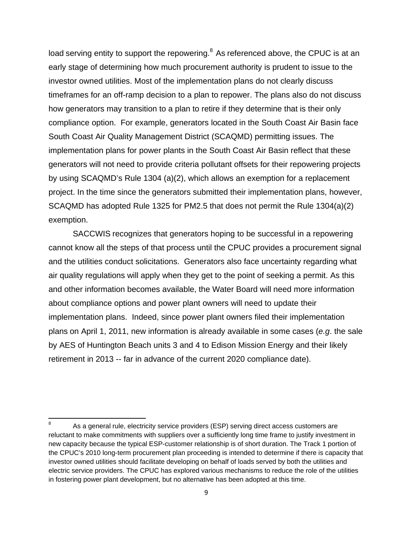load serving entity to support the repowering.<sup>8</sup> As referenced above, the CPUC is at an early stage of determining how much procurement authority is prudent to issue to the investor owned utilities. Most of the implementation plans do not clearly discuss timeframes for an off-ramp decision to a plan to repower. The plans also do not discuss how generators may transition to a plan to retire if they determine that is their only compliance option. For example, generators located in the South Coast Air Basin face South Coast Air Quality Management District (SCAQMD) permitting issues. The implementation plans for power plants in the South Coast Air Basin reflect that these generators will not need to provide criteria pollutant offsets for their repowering projects by using SCAQMD's Rule 1304 (a)(2), which allows an exemption for a replacement project. In the time since the generators submitted their implementation plans, however, SCAQMD has adopted Rule 1325 for PM2.5 that does not permit the Rule 1304(a)(2) exemption.

SACCWIS recognizes that generators hoping to be successful in a repowering cannot know all the steps of that process until the CPUC provides a procurement signal and the utilities conduct solicitations. Generators also face uncertainty regarding what air quality regulations will apply when they get to the point of seeking a permit. As this and other information becomes available, the Water Board will need more information about compliance options and power plant owners will need to update their implementation plans. Indeed, since power plant owners filed their implementation plans on April 1, 2011, new information is already available in some cases (*e.g*. the sale by AES of Huntington Beach units 3 and 4 to Edison Mission Energy and their likely retirement in 2013 -- far in advance of the current 2020 compliance date).

As a general rule, electricity service providers (ESP) serving direct access customers are reluctant to make commitments with suppliers over a sufficiently long time frame to justify investment in new capacity because the typical ESP-customer relationship is of short duration. The Track 1 portion of the CPUC's 2010 long-term procurement plan proceeding is intended to determine if there is capacity that investor owned utilities should facilitate developing on behalf of loads served by both the utilities and electric service providers. The CPUC has explored various mechanisms to reduce the role of the utilities in fostering power plant development, but no alternative has been adopted at this time.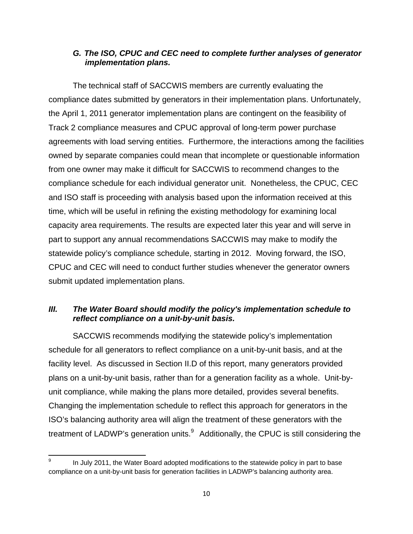## *G. The ISO, CPUC and CEC need to complete further analyses of generator implementation plans.*

The technical staff of SACCWIS members are currently evaluating the compliance dates submitted by generators in their implementation plans. Unfortunately, the April 1, 2011 generator implementation plans are contingent on the feasibility of Track 2 compliance measures and CPUC approval of long-term power purchase agreements with load serving entities. Furthermore, the interactions among the facilities owned by separate companies could mean that incomplete or questionable information from one owner may make it difficult for SACCWIS to recommend changes to the compliance schedule for each individual generator unit. Nonetheless, the CPUC, CEC and ISO staff is proceeding with analysis based upon the information received at this time, which will be useful in refining the existing methodology for examining local capacity area requirements. The results are expected later this year and will serve in part to support any annual recommendations SACCWIS may make to modify the statewide policy's compliance schedule, starting in 2012. Moving forward, the ISO, CPUC and CEC will need to conduct further studies whenever the generator owners submit updated implementation plans.

## *III. The Water Board should modify the policy's implementation schedule to reflect compliance on a unit-by-unit basis.*

SACCWIS recommends modifying the statewide policy's implementation schedule for all generators to reflect compliance on a unit-by-unit basis, and at the facility level. As discussed in Section II.D of this report, many generators provided plans on a unit-by-unit basis, rather than for a generation facility as a whole. Unit-byunit compliance, while making the plans more detailed, provides several benefits. Changing the implementation schedule to reflect this approach for generators in the ISO's balancing authority area will align the treatment of these generators with the treatment of LADWP's generation units. $9$  Additionally, the CPUC is still considering the

In July 2011, the Water Board adopted modifications to the statewide policy in part to base compliance on a unit-by-unit basis for generation facilities in LADWP's balancing authority area.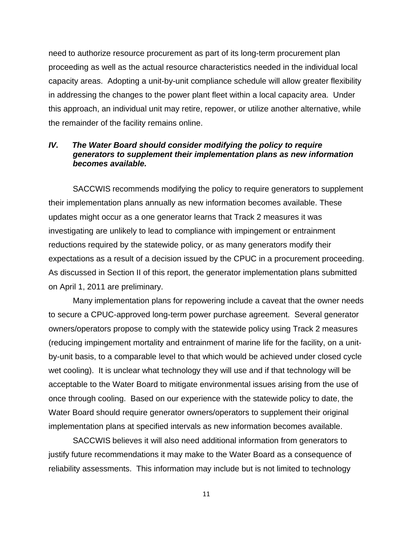need to authorize resource procurement as part of its long-term procurement plan proceeding as well as the actual resource characteristics needed in the individual local capacity areas. Adopting a unit-by-unit compliance schedule will allow greater flexibility in addressing the changes to the power plant fleet within a local capacity area. Under this approach, an individual unit may retire, repower, or utilize another alternative, while the remainder of the facility remains online.

#### *IV. The Water Board should consider modifying the policy to require generators to supplement their implementation plans as new information becomes available.*

SACCWIS recommends modifying the policy to require generators to supplement their implementation plans annually as new information becomes available. These updates might occur as a one generator learns that Track 2 measures it was investigating are unlikely to lead to compliance with impingement or entrainment reductions required by the statewide policy, or as many generators modify their expectations as a result of a decision issued by the CPUC in a procurement proceeding. As discussed in Section II of this report, the generator implementation plans submitted on April 1, 2011 are preliminary.

Many implementation plans for repowering include a caveat that the owner needs to secure a CPUC-approved long-term power purchase agreement. Several generator owners/operators propose to comply with the statewide policy using Track 2 measures (reducing impingement mortality and entrainment of marine life for the facility, on a unitby-unit basis, to a comparable level to that which would be achieved under closed cycle wet cooling). It is unclear what technology they will use and if that technology will be acceptable to the Water Board to mitigate environmental issues arising from the use of once through cooling. Based on our experience with the statewide policy to date, the Water Board should require generator owners/operators to supplement their original implementation plans at specified intervals as new information becomes available.

SACCWIS believes it will also need additional information from generators to justify future recommendations it may make to the Water Board as a consequence of reliability assessments. This information may include but is not limited to technology

11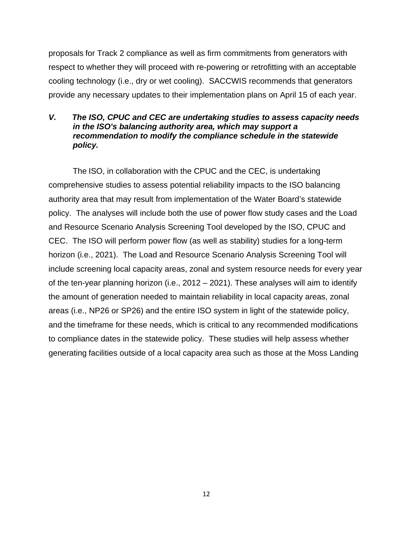proposals for Track 2 compliance as well as firm commitments from generators with respect to whether they will proceed with re-powering or retrofitting with an acceptable cooling technology (i.e., dry or wet cooling). SACCWIS recommends that generators provide any necessary updates to their implementation plans on April 15 of each year.

## *V. The ISO, CPUC and CEC are undertaking studies to assess capacity needs in the ISO's balancing authority area, which may support a recommendation to modify the compliance schedule in the statewide policy.*

The ISO, in collaboration with the CPUC and the CEC, is undertaking comprehensive studies to assess potential reliability impacts to the ISO balancing authority area that may result from implementation of the Water Board's statewide policy. The analyses will include both the use of power flow study cases and the Load and Resource Scenario Analysis Screening Tool developed by the ISO, CPUC and CEC. The ISO will perform power flow (as well as stability) studies for a long-term horizon (i.e., 2021). The Load and Resource Scenario Analysis Screening Tool will include screening local capacity areas, zonal and system resource needs for every year of the ten-year planning horizon (i.e., 2012 – 2021). These analyses will aim to identify the amount of generation needed to maintain reliability in local capacity areas, zonal areas (i.e., NP26 or SP26) and the entire ISO system in light of the statewide policy, and the timeframe for these needs, which is critical to any recommended modifications to compliance dates in the statewide policy. These studies will help assess whether generating facilities outside of a local capacity area such as those at the Moss Landing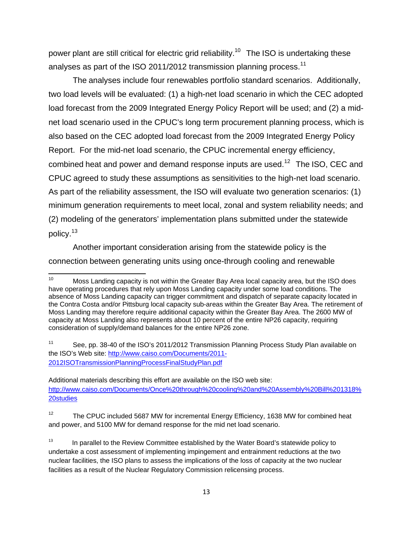power plant are still critical for electric grid reliability.<sup>10</sup> The ISO is undertaking these analyses as part of the ISO 2011/2012 transmission planning process.<sup>11</sup>

The analyses include four renewables portfolio standard scenarios. Additionally, two load levels will be evaluated: (1) a high-net load scenario in which the CEC adopted load forecast from the 2009 Integrated Energy Policy Report will be used; and (2) a midnet load scenario used in the CPUC's long term procurement planning process, which is also based on the CEC adopted load forecast from the 2009 Integrated Energy Policy Report. For the mid-net load scenario, the CPUC incremental energy efficiency, combined heat and power and demand response inputs are used.<sup>12</sup> The ISO, CEC and CPUC agreed to study these assumptions as sensitivities to the high-net load scenario. As part of the reliability assessment, the ISO will evaluate two generation scenarios: (1) minimum generation requirements to meet local, zonal and system reliability needs; and (2) modeling of the generators' implementation plans submitted under the statewide policy.<sup>13</sup>

Another important consideration arising from the statewide policy is the connection between generating units using once-through cooling and renewable

Additional materials describing this effort are available on the ISO web site: http://www.caiso.com/Documents/Once%20through%20cooling%20and%20Assembly%20Bill%201318% 20studies

<sup>12</sup> The CPUC included 5687 MW for incremental Energy Efficiency, 1638 MW for combined heat and power, and 5100 MW for demand response for the mid net load scenario.

<sup>&</sup>lt;sup>10</sup> Moss Landing capacity is not within the Greater Bay Area local capacity area, but the ISO does have operating procedures that rely upon Moss Landing capacity under some load conditions. The absence of Moss Landing capacity can trigger commitment and dispatch of separate capacity located in the Contra Costa and/or Pittsburg local capacity sub-areas within the Greater Bay Area. The retirement of Moss Landing may therefore require additional capacity within the Greater Bay Area. The 2600 MW of capacity at Moss Landing also represents about 10 percent of the entire NP26 capacity, requiring consideration of supply/demand balances for the entire NP26 zone.

<sup>&</sup>lt;sup>11</sup> See, pp. 38-40 of the ISO's 2011/2012 Transmission Planning Process Study Plan available on the ISO's Web site: http://www.caiso.com/Documents/2011- 2012ISOTransmissionPlanningProcessFinalStudyPlan.pdf

 $13$  In parallel to the Review Committee established by the Water Board's statewide policy to undertake a cost assessment of implementing impingement and entrainment reductions at the two nuclear facilities, the ISO plans to assess the implications of the loss of capacity at the two nuclear facilities as a result of the Nuclear Regulatory Commission relicensing process.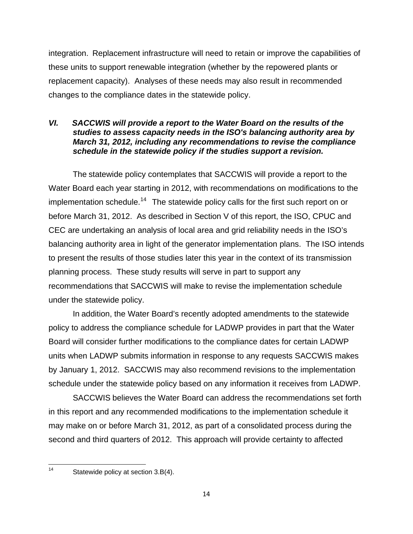integration. Replacement infrastructure will need to retain or improve the capabilities of these units to support renewable integration (whether by the repowered plants or replacement capacity). Analyses of these needs may also result in recommended changes to the compliance dates in the statewide policy.

## *VI. SACCWIS will provide a report to the Water Board on the results of the studies to assess capacity needs in the ISO's balancing authority area by March 31, 2012, including any recommendations to revise the compliance schedule in the statewide policy if the studies support a revision.*

The statewide policy contemplates that SACCWIS will provide a report to the Water Board each year starting in 2012, with recommendations on modifications to the implementation schedule.<sup>14</sup> The statewide policy calls for the first such report on or before March 31, 2012. As described in Section V of this report, the ISO, CPUC and CEC are undertaking an analysis of local area and grid reliability needs in the ISO's balancing authority area in light of the generator implementation plans. The ISO intends to present the results of those studies later this year in the context of its transmission planning process. These study results will serve in part to support any recommendations that SACCWIS will make to revise the implementation schedule under the statewide policy.

In addition, the Water Board's recently adopted amendments to the statewide policy to address the compliance schedule for LADWP provides in part that the Water Board will consider further modifications to the compliance dates for certain LADWP units when LADWP submits information in response to any requests SACCWIS makes by January 1, 2012. SACCWIS may also recommend revisions to the implementation schedule under the statewide policy based on any information it receives from LADWP.

SACCWIS believes the Water Board can address the recommendations set forth in this report and any recommended modifications to the implementation schedule it may make on or before March 31, 2012, as part of a consolidated process during the second and third quarters of 2012. This approach will provide certainty to affected

14 Statewide policy at section 3.B(4).

<sup>14</sup>